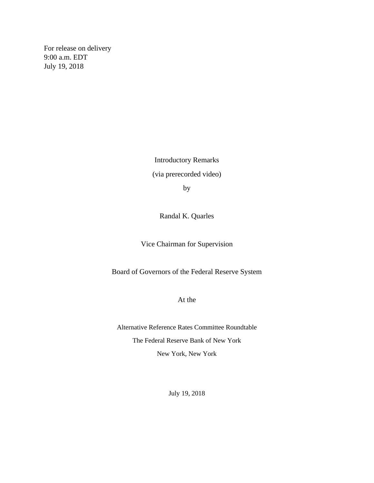For release on delivery 9:00 a.m. EDT July 19, 2018

> Introductory Remarks (via prerecorded video) by

> > Randal K. Quarles

Vice Chairman for Supervision

Board of Governors of the Federal Reserve System

At the

Alternative Reference Rates Committee Roundtable The Federal Reserve Bank of New York New York, New York

July 19, 2018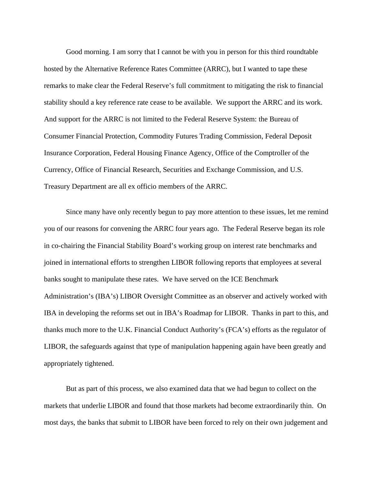Good morning. I am sorry that I cannot be with you in person for this third roundtable hosted by the Alternative Reference Rates Committee (ARRC), but I wanted to tape these remarks to make clear the Federal Reserve's full commitment to mitigating the risk to financial stability should a key reference rate cease to be available. We support the ARRC and its work. And support for the ARRC is not limited to the Federal Reserve System: the Bureau of Consumer Financial Protection, Commodity Futures Trading Commission, Federal Deposit Insurance Corporation, Federal Housing Finance Agency, Office of the Comptroller of the Currency, Office of Financial Research, Securities and Exchange Commission, and U.S. Treasury Department are all ex officio members of the ARRC.

Since many have only recently begun to pay more attention to these issues, let me remind you of our reasons for convening the ARRC four years ago. The Federal Reserve began its role in co-chairing the Financial Stability Board's working group on interest rate benchmarks and joined in international efforts to strengthen LIBOR following reports that employees at several banks sought to manipulate these rates. We have served on the ICE Benchmark Administration's (IBA's) LIBOR Oversight Committee as an observer and actively worked with IBA in developing the reforms set out in IBA's Roadmap for LIBOR. Thanks in part to this, and thanks much more to the U.K. Financial Conduct Authority's (FCA's) efforts as the regulator of LIBOR, the safeguards against that type of manipulation happening again have been greatly and appropriately tightened.

But as part of this process, we also examined data that we had begun to collect on the markets that underlie LIBOR and found that those markets had become extraordinarily thin. On most days, the banks that submit to LIBOR have been forced to rely on their own judgement and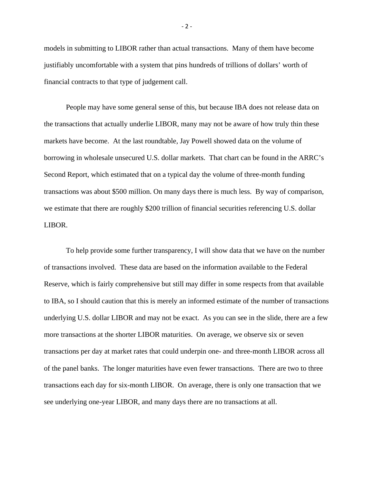models in submitting to LIBOR rather than actual transactions. Many of them have become justifiably uncomfortable with a system that pins hundreds of trillions of dollars' worth of financial contracts to that type of judgement call.

People may have some general sense of this, but because IBA does not release data on the transactions that actually underlie LIBOR, many may not be aware of how truly thin these markets have become. At the last roundtable, Jay Powell showed data on the volume of borrowing in wholesale unsecured U.S. dollar markets. That chart can be found in the ARRC's Second Report, which estimated that on a typical day the volume of three-month funding transactions was about \$500 million. On many days there is much less. By way of comparison, we estimate that there are roughly \$200 trillion of financial securities referencing U.S. dollar LIBOR.

To help provide some further transparency, I will show data that we have on the number of transactions involved. These data are based on the information available to the Federal Reserve, which is fairly comprehensive but still may differ in some respects from that available to IBA, so I should caution that this is merely an informed estimate of the number of transactions underlying U.S. dollar LIBOR and may not be exact. As you can see in the slide, there are a few more transactions at the shorter LIBOR maturities. On average, we observe six or seven transactions per day at market rates that could underpin one- and three-month LIBOR across all of the panel banks. The longer maturities have even fewer transactions. There are two to three transactions each day for six-month LIBOR. On average, there is only one transaction that we see underlying one-year LIBOR, and many days there are no transactions at all.

- 2 -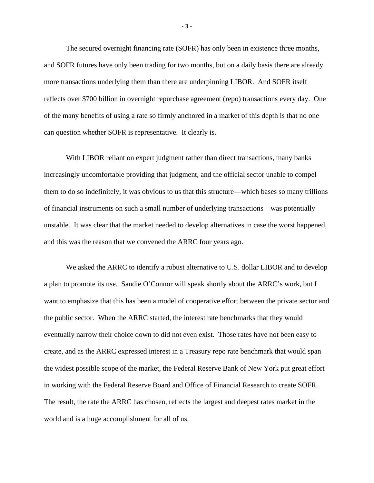The secured overnight financing rate (SOFR) has only been in existence three months, and SOFR futures have only been trading for two months, but on a daily basis there are already more transactions underlying them than there are underpinning LIBOR. And SOFR itself reflects over \$700 billion in overnight repurchase agreement (repo) transactions every day. One of the many benefits of using a rate so firmly anchored in a market of this depth is that no one can question whether SOFR is representative. It clearly is.

With LIBOR reliant on expert judgment rather than direct transactions, many banks increasingly uncomfortable providing that judgment, and the official sector unable to compel them to do so indefinitely, it was obvious to us that this structure—which bases so many trillions of financial instruments on such a small number of underlying transactions—was potentially unstable. It was clear that the market needed to develop alternatives in case the worst happened, and this was the reason that we convened the ARRC four years ago.

We asked the ARRC to identify a robust alternative to U.S. dollar LIBOR and to develop a plan to promote its use. Sandie O'Connor will speak shortly about the ARRC's work, but I want to emphasize that this has been a model of cooperative effort between the private sector and the public sector. When the ARRC started, the interest rate benchmarks that they would eventually narrow their choice down to did not even exist. Those rates have not been easy to create, and as the ARRC expressed interest in a Treasury repo rate benchmark that would span the widest possible scope of the market, the Federal Reserve Bank of New York put great effort in working with the Federal Reserve Board and Office of Financial Research to create SOFR. The result, the rate the ARRC has chosen, reflects the largest and deepest rates market in the world and is a huge accomplishment for all of us.

- 3 -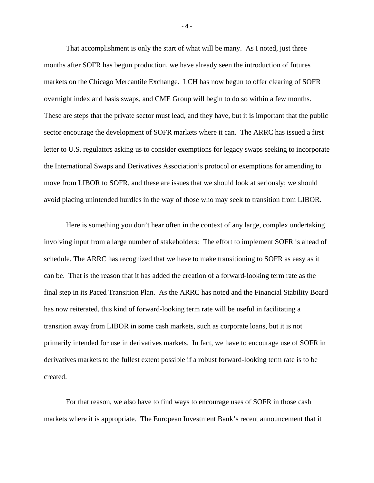That accomplishment is only the start of what will be many. As I noted, just three months after SOFR has begun production, we have already seen the introduction of futures markets on the Chicago Mercantile Exchange. LCH has now begun to offer clearing of SOFR overnight index and basis swaps, and CME Group will begin to do so within a few months. These are steps that the private sector must lead, and they have, but it is important that the public sector encourage the development of SOFR markets where it can. The ARRC has issued a first letter to U.S. regulators asking us to consider exemptions for legacy swaps seeking to incorporate the International Swaps and Derivatives Association's protocol or exemptions for amending to move from LIBOR to SOFR, and these are issues that we should look at seriously; we should avoid placing unintended hurdles in the way of those who may seek to transition from LIBOR.

Here is something you don't hear often in the context of any large, complex undertaking involving input from a large number of stakeholders: The effort to implement SOFR is ahead of schedule. The ARRC has recognized that we have to make transitioning to SOFR as easy as it can be. That is the reason that it has added the creation of a forward-looking term rate as the final step in its Paced Transition Plan. As the ARRC has noted and the Financial Stability Board has now reiterated, this kind of forward-looking term rate will be useful in facilitating a transition away from LIBOR in some cash markets, such as corporate loans, but it is not primarily intended for use in derivatives markets. In fact, we have to encourage use of SOFR in derivatives markets to the fullest extent possible if a robust forward-looking term rate is to be created.

For that reason, we also have to find ways to encourage uses of SOFR in those cash markets where it is appropriate. The European Investment Bank's recent announcement that it

- 4 -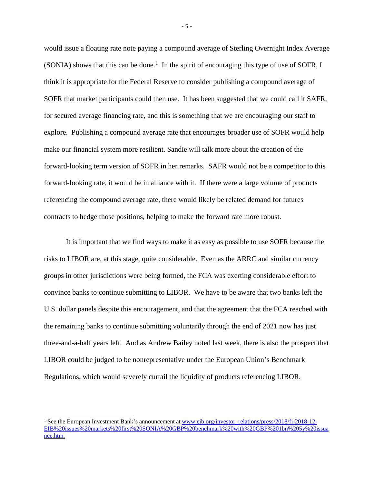would issue a floating rate note paying a compound average of Sterling Overnight Index Average  $(SONIA)$  shows that this can be done.<sup>[1](#page-5-0)</sup> In the spirit of encouraging this type of use of SOFR, I think it is appropriate for the Federal Reserve to consider publishing a compound average of SOFR that market participants could then use. It has been suggested that we could call it SAFR, for secured average financing rate, and this is something that we are encouraging our staff to explore. Publishing a compound average rate that encourages broader use of SOFR would help make our financial system more resilient. Sandie will talk more about the creation of the forward-looking term version of SOFR in her remarks. SAFR would not be a competitor to this forward-looking rate, it would be in alliance with it. If there were a large volume of products referencing the compound average rate, there would likely be related demand for futures contracts to hedge those positions, helping to make the forward rate more robust.

It is important that we find ways to make it as easy as possible to use SOFR because the risks to LIBOR are, at this stage, quite considerable. Even as the ARRC and similar currency groups in other jurisdictions were being formed, the FCA was exerting considerable effort to convince banks to continue submitting to LIBOR. We have to be aware that two banks left the U.S. dollar panels despite this encouragement, and that the agreement that the FCA reached with the remaining banks to continue submitting voluntarily through the end of 2021 now has just three-and-a-half years left. And as Andrew Bailey noted last week, there is also the prospect that LIBOR could be judged to be nonrepresentative under the European Union's Benchmark Regulations, which would severely curtail the liquidity of products referencing LIBOR.

 $\overline{a}$ 

- 5 -

<span id="page-5-0"></span><sup>&</sup>lt;sup>1</sup> See the European Investment Bank's announcement at [www.eib.org/investor\\_relations/press/2018/fi-2018-12-](http://www.eib.org/investor_relations/press/2018/fi-2018-12-EIB%20issues%20markets%20first%20SONIA%20GBP%20benchmark%20with%20GBP%201bn%205y%20issuance.htm) [EIB%20issues%20markets%20first%20SONIA%20GBP%20benchmark%20with%20GBP%201bn%205y%20issua](http://www.eib.org/investor_relations/press/2018/fi-2018-12-EIB%20issues%20markets%20first%20SONIA%20GBP%20benchmark%20with%20GBP%201bn%205y%20issuance.htm) [nce.htm.](http://www.eib.org/investor_relations/press/2018/fi-2018-12-EIB%20issues%20markets%20first%20SONIA%20GBP%20benchmark%20with%20GBP%201bn%205y%20issuance.htm)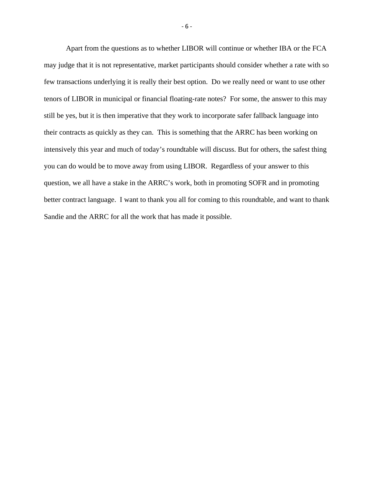Apart from the questions as to whether LIBOR will continue or whether IBA or the FCA may judge that it is not representative, market participants should consider whether a rate with so few transactions underlying it is really their best option. Do we really need or want to use other tenors of LIBOR in municipal or financial floating-rate notes? For some, the answer to this may still be yes, but it is then imperative that they work to incorporate safer fallback language into their contracts as quickly as they can. This is something that the ARRC has been working on intensively this year and much of today's roundtable will discuss. But for others, the safest thing you can do would be to move away from using LIBOR. Regardless of your answer to this question, we all have a stake in the ARRC's work, both in promoting SOFR and in promoting better contract language. I want to thank you all for coming to this roundtable, and want to thank Sandie and the ARRC for all the work that has made it possible.